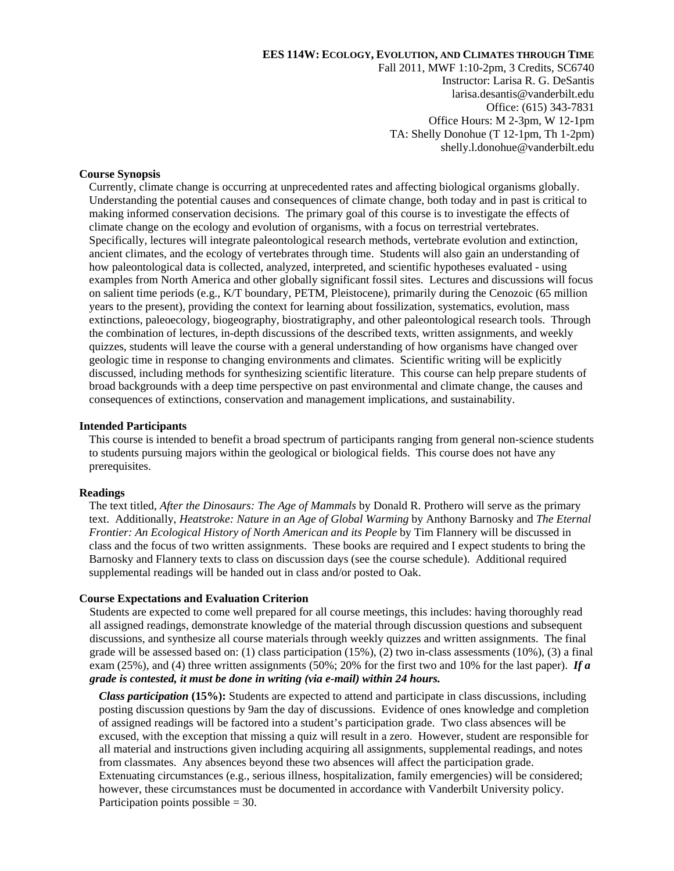### **EES 114W: ECOLOGY, EVOLUTION, AND CLIMATES THROUGH TIME**

Fall 2011, MWF 1:10-2pm, 3 Credits, SC6740 Instructor: Larisa R. G. DeSantis larisa.desantis@vanderbilt.edu Office: (615) 343-7831 Office Hours: M 2-3pm, W 12-1pm TA: Shelly Donohue (T 12-1pm, Th 1-2pm) shelly.l.donohue@vanderbilt.edu

### **Course Synopsis**

Currently, climate change is occurring at unprecedented rates and affecting biological organisms globally. Understanding the potential causes and consequences of climate change, both today and in past is critical to making informed conservation decisions. The primary goal of this course is to investigate the effects of climate change on the ecology and evolution of organisms, with a focus on terrestrial vertebrates. Specifically, lectures will integrate paleontological research methods, vertebrate evolution and extinction, ancient climates, and the ecology of vertebrates through time. Students will also gain an understanding of how paleontological data is collected, analyzed, interpreted, and scientific hypotheses evaluated - using examples from North America and other globally significant fossil sites. Lectures and discussions will focus on salient time periods (e.g., K/T boundary, PETM, Pleistocene), primarily during the Cenozoic (65 million years to the present), providing the context for learning about fossilization, systematics, evolution, mass extinctions, paleoecology, biogeography, biostratigraphy, and other paleontological research tools. Through the combination of lectures, in-depth discussions of the described texts, written assignments, and weekly quizzes, students will leave the course with a general understanding of how organisms have changed over geologic time in response to changing environments and climates. Scientific writing will be explicitly discussed, including methods for synthesizing scientific literature. This course can help prepare students of broad backgrounds with a deep time perspective on past environmental and climate change, the causes and consequences of extinctions, conservation and management implications, and sustainability.

#### **Intended Participants**

This course is intended to benefit a broad spectrum of participants ranging from general non-science students to students pursuing majors within the geological or biological fields. This course does not have any prerequisites.

#### **Readings**

The text titled, *After the Dinosaurs: The Age of Mammals* by Donald R. Prothero will serve as the primary text. Additionally, *Heatstroke: Nature in an Age of Global Warming* by Anthony Barnosky and *The Eternal Frontier: An Ecological History of North American and its People* by Tim Flannery will be discussed in class and the focus of two written assignments. These books are required and I expect students to bring the Barnosky and Flannery texts to class on discussion days (see the course schedule). Additional required supplemental readings will be handed out in class and/or posted to Oak.

#### **Course Expectations and Evaluation Criterion**

Students are expected to come well prepared for all course meetings, this includes: having thoroughly read all assigned readings, demonstrate knowledge of the material through discussion questions and subsequent discussions, and synthesize all course materials through weekly quizzes and written assignments. The final grade will be assessed based on: (1) class participation (15%), (2) two in-class assessments (10%), (3) a final exam (25%), and (4) three written assignments (50%; 20% for the first two and 10% for the last paper). *If a grade is contested, it must be done in writing (via e-mail) within 24 hours.* 

*Class participation* **(15%):** Students are expected to attend and participate in class discussions, including posting discussion questions by 9am the day of discussions. Evidence of ones knowledge and completion of assigned readings will be factored into a student's participation grade. Two class absences will be excused, with the exception that missing a quiz will result in a zero. However, student are responsible for all material and instructions given including acquiring all assignments, supplemental readings, and notes from classmates. Any absences beyond these two absences will affect the participation grade. Extenuating circumstances (e.g., serious illness, hospitalization, family emergencies) will be considered; however, these circumstances must be documented in accordance with Vanderbilt University policy. Participation points possible  $= 30$ .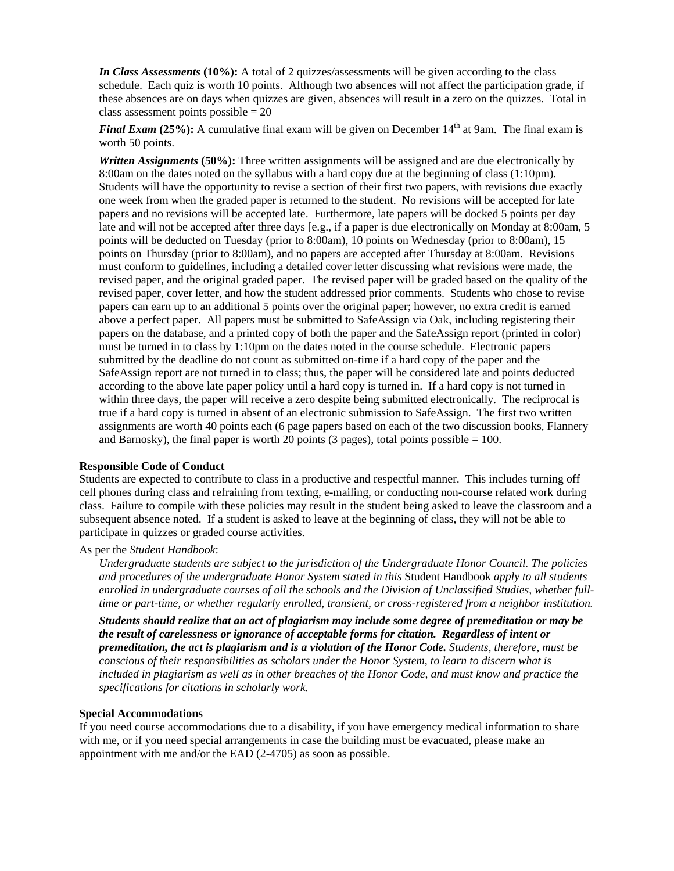*In Class Assessments* (10%): A total of 2 quizzes/assessments will be given according to the class schedule. Each quiz is worth 10 points. Although two absences will not affect the participation grade, if these absences are on days when quizzes are given, absences will result in a zero on the quizzes. Total in class assessment points possible  $= 20$ 

*Final Exam (25%):* A cumulative final exam will be given on December 14<sup>th</sup> at 9am. The final exam is worth 50 points.

**Written Assignments (50%):** Three written assignments will be assigned and are due electronically by 8:00am on the dates noted on the syllabus with a hard copy due at the beginning of class (1:10pm). Students will have the opportunity to revise a section of their first two papers, with revisions due exactly one week from when the graded paper is returned to the student. No revisions will be accepted for late papers and no revisions will be accepted late. Furthermore, late papers will be docked 5 points per day late and will not be accepted after three days [e.g., if a paper is due electronically on Monday at 8:00am, 5 points will be deducted on Tuesday (prior to 8:00am), 10 points on Wednesday (prior to 8:00am), 15 points on Thursday (prior to 8:00am), and no papers are accepted after Thursday at 8:00am. Revisions must conform to guidelines, including a detailed cover letter discussing what revisions were made, the revised paper, and the original graded paper. The revised paper will be graded based on the quality of the revised paper, cover letter, and how the student addressed prior comments. Students who chose to revise papers can earn up to an additional 5 points over the original paper; however, no extra credit is earned above a perfect paper. All papers must be submitted to SafeAssign via Oak, including registering their papers on the database, and a printed copy of both the paper and the SafeAssign report (printed in color) must be turned in to class by 1:10pm on the dates noted in the course schedule. Electronic papers submitted by the deadline do not count as submitted on-time if a hard copy of the paper and the SafeAssign report are not turned in to class; thus, the paper will be considered late and points deducted according to the above late paper policy until a hard copy is turned in. If a hard copy is not turned in within three days, the paper will receive a zero despite being submitted electronically. The reciprocal is true if a hard copy is turned in absent of an electronic submission to SafeAssign. The first two written assignments are worth 40 points each (6 page papers based on each of the two discussion books, Flannery and Barnosky), the final paper is worth 20 points (3 pages), total points possible  $= 100$ .

## **Responsible Code of Conduct**

Students are expected to contribute to class in a productive and respectful manner. This includes turning off cell phones during class and refraining from texting, e-mailing, or conducting non-course related work during class. Failure to compile with these policies may result in the student being asked to leave the classroom and a subsequent absence noted. If a student is asked to leave at the beginning of class, they will not be able to participate in quizzes or graded course activities.

## As per the *Student Handbook*:

*Undergraduate students are subject to the jurisdiction of the Undergraduate Honor Council. The policies and procedures of the undergraduate Honor System stated in this* Student Handbook *apply to all students enrolled in undergraduate courses of all the schools and the Division of Unclassified Studies, whether fulltime or part-time, or whether regularly enrolled, transient, or cross-registered from a neighbor institution.* 

*Students should realize that an act of plagiarism may include some degree of premeditation or may be the result of carelessness or ignorance of acceptable forms for citation. Regardless of intent or premeditation, the act is plagiarism and is a violation of the Honor Code. Students, therefore, must be conscious of their responsibilities as scholars under the Honor System, to learn to discern what is included in plagiarism as well as in other breaches of the Honor Code, and must know and practice the specifications for citations in scholarly work.* 

## **Special Accommodations**

If you need course accommodations due to a disability, if you have emergency medical information to share with me, or if you need special arrangements in case the building must be evacuated, please make an appointment with me and/or the EAD (2-4705) as soon as possible.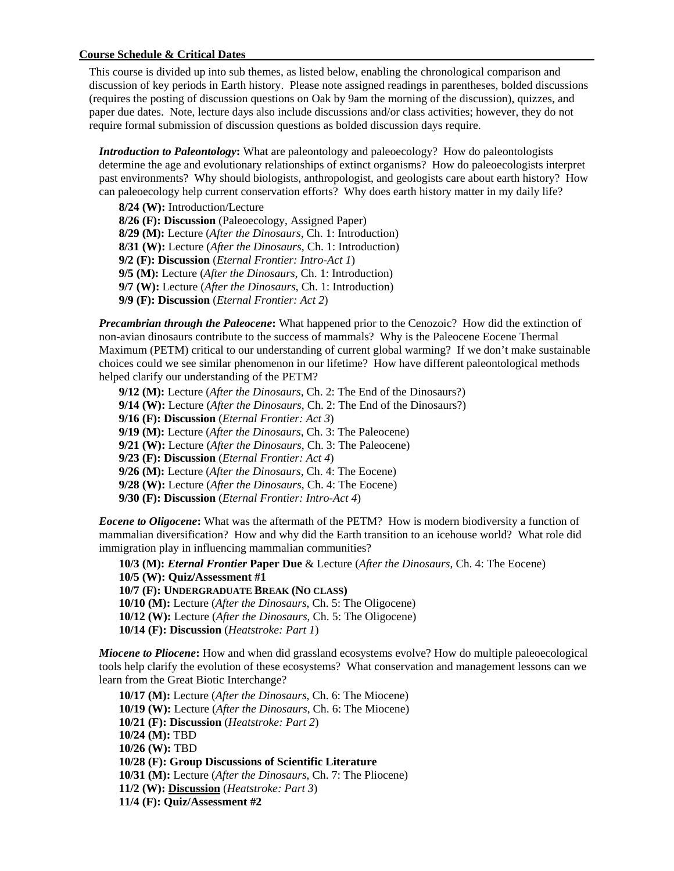### **Course Schedule & Critical Dates**

This course is divided up into sub themes, as listed below, enabling the chronological comparison and discussion of key periods in Earth history. Please note assigned readings in parentheses, bolded discussions (requires the posting of discussion questions on Oak by 9am the morning of the discussion), quizzes, and paper due dates. Note, lecture days also include discussions and/or class activities; however, they do not require formal submission of discussion questions as bolded discussion days require.

*Introduction to Paleontology***:** What are paleontology and paleoecology? How do paleontologists determine the age and evolutionary relationships of extinct organisms? How do paleoecologists interpret past environments? Why should biologists, anthropologist, and geologists care about earth history? How can paleoecology help current conservation efforts? Why does earth history matter in my daily life?

**8/24 (W):** Introduction/Lecture **8/26 (F): Discussion** (Paleoecology, Assigned Paper) **8/29 (M):** Lecture (*After the Dinosaurs*, Ch. 1: Introduction) **8/31 (W):** Lecture (*After the Dinosaurs*, Ch. 1: Introduction) **9/2 (F): Discussion** (*Eternal Frontier: Intro-Act 1*) **9/5 (M):** Lecture (*After the Dinosaurs*, Ch. 1: Introduction) **9/7 (W):** Lecture (*After the Dinosaurs*, Ch. 1: Introduction) **9/9 (F): Discussion** (*Eternal Frontier: Act 2*)

*Precambrian through the Paleocene***:** What happened prior to the Cenozoic? How did the extinction of non-avian dinosaurs contribute to the success of mammals? Why is the Paleocene Eocene Thermal Maximum (PETM) critical to our understanding of current global warming? If we don't make sustainable choices could we see similar phenomenon in our lifetime? How have different paleontological methods helped clarify our understanding of the PETM?

**9/12 (M):** Lecture (*After the Dinosaurs*, Ch. 2: The End of the Dinosaurs?) **9/14 (W):** Lecture (*After the Dinosaurs*, Ch. 2: The End of the Dinosaurs?) **9/16 (F): Discussion** (*Eternal Frontier: Act 3*) **9/19 (M):** Lecture (*After the Dinosaurs*, Ch. 3: The Paleocene) **9/21 (W):** Lecture (*After the Dinosaurs*, Ch. 3: The Paleocene) **9/23 (F): Discussion** (*Eternal Frontier: Act 4*) **9/26 (M):** Lecture (*After the Dinosaurs*, Ch. 4: The Eocene) **9/28 (W):** Lecture (*After the Dinosaurs*, Ch. 4: The Eocene) **9/30 (F): Discussion** (*Eternal Frontier: Intro-Act 4*)

*Eocene to Oligocene***:** What was the aftermath of the PETM? How is modern biodiversity a function of mammalian diversification? How and why did the Earth transition to an icehouse world? What role did immigration play in influencing mammalian communities?

**10/3 (M):** *Eternal Frontier* **Paper Due** & Lecture (*After the Dinosaurs*, Ch. 4: The Eocene) **10/5 (W): Quiz/Assessment #1 10/7 (F): UNDERGRADUATE BREAK (NO CLASS) 10/10 (M):** Lecture (*After the Dinosaurs*, Ch. 5: The Oligocene) **10/12 (W):** Lecture (*After the Dinosaurs*, Ch. 5: The Oligocene) **10/14 (F): Discussion** (*Heatstroke: Part 1*)

*Miocene to Pliocene***:** How and when did grassland ecosystems evolve? How do multiple paleoecological tools help clarify the evolution of these ecosystems? What conservation and management lessons can we learn from the Great Biotic Interchange?

 **10/17 (M):** Lecture (*After the Dinosaurs*, Ch. 6: The Miocene) **10/19 (W):** Lecture (*After the Dinosaurs*, Ch. 6: The Miocene) **10/21 (F): Discussion** (*Heatstroke: Part 2*) **10/24 (M):** TBD **10/26 (W):** TBD **10/28 (F): Group Discussions of Scientific Literature 10/31 (M):** Lecture (*After the Dinosaurs*, Ch. 7: The Pliocene) **11/2 (W): Discussion** (*Heatstroke: Part 3*) **11/4 (F): Quiz/Assessment #2**